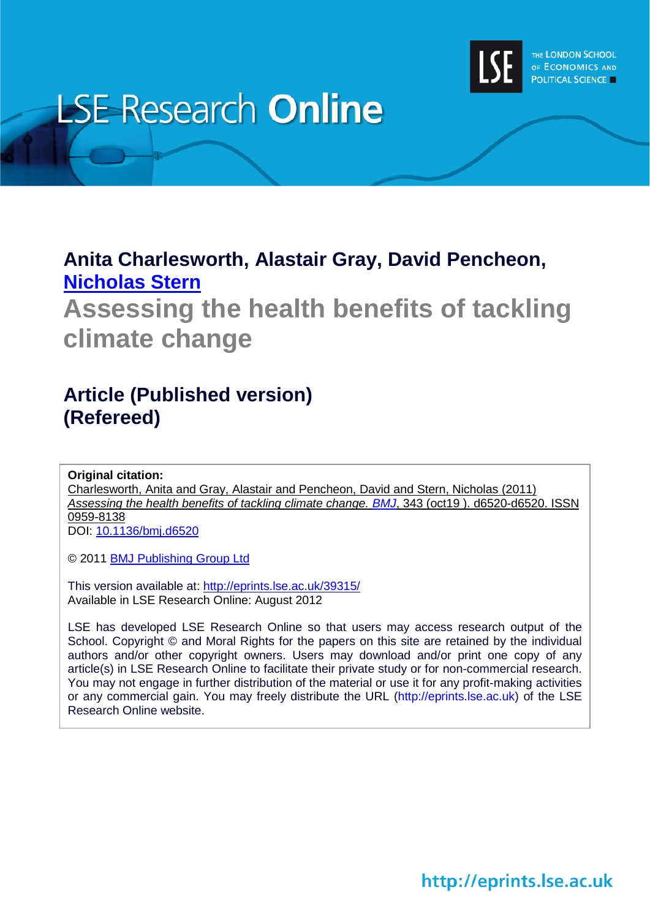

# **LSE Research Online**

### **Anita Charlesworth, Alastair Gray, David Pencheon, [Nicholas Stern](http://www2.lse.ac.uk/researchAndExpertise/Experts/profile.aspx?KeyValue=n.stern@lse.ac.uk)**

**Assessing the health benefits of tackling climate change** 

## **Article (Published version) (Refereed)**

**Original citation:**

Charlesworth, Anita and Gray, Alastair and Pencheon, David and Stern, Nicholas (2011) *Assessing the health benefits of tackling climate change. [BMJ](http://www.bmj.com/)*, 343 (oct19 ). d6520-d6520. ISSN 0959-8138

DOI: [10.1136/bmj.d6520](http://dx.doi.org/10.1136/bmj.d6520)

© 2011 [BMJ Publishing Group Ltd](http://www.bmj.com/)

This version available at:<http://eprints.lse.ac.uk/39315/> Available in LSE Research Online: August 2012

LSE has developed LSE Research Online so that users may access research output of the School. Copyright © and Moral Rights for the papers on this site are retained by the individual authors and/or other copyright owners. Users may download and/or print one copy of any article(s) in LSE Research Online to facilitate their private study or for non-commercial research. You may not engage in further distribution of the material or use it for any profit-making activities or any commercial gain. You may freely distribute the URL (http://eprints.lse.ac.uk) of the LSE Research Online website.

http://eprints.lse.ac.uk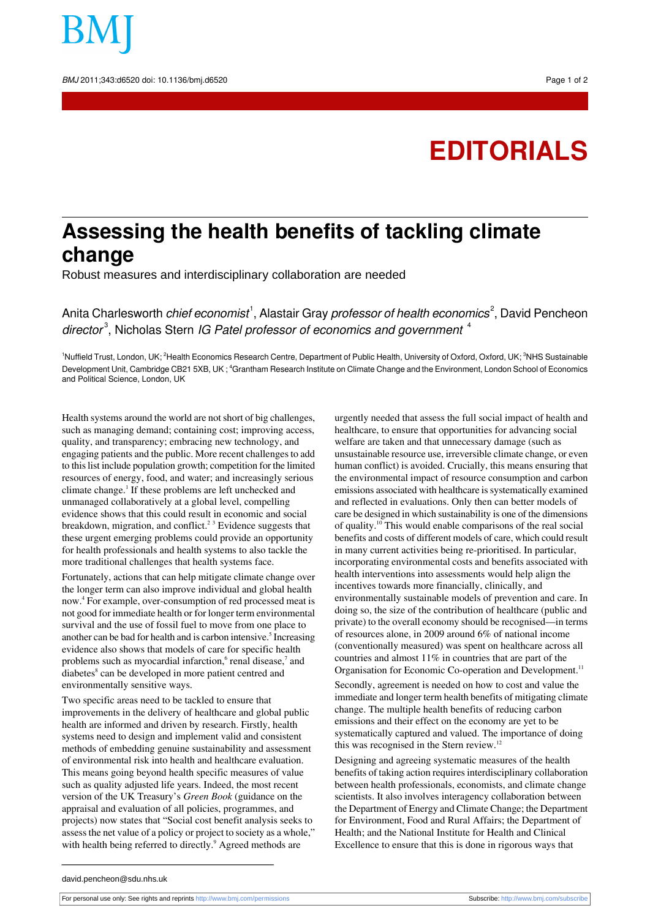# **EDITORIALS**

# **Assessing the health benefits of tackling climate change**

Robust measures and interdisciplinary collaboration are needed

Anita Charlesworth *chief economist<sup>1</sup>, Alastair Gray professor of health economics<sup>2</sup>, David Pencheon* director<sup>3</sup>, Nicholas Stern IG Patel professor of economics and government <sup>4</sup>

<sup>1</sup>Nuffield Trust, London, UK; <sup>2</sup>Health Economics Research Centre, Department of Public Health, University of Oxford, Oxford, UK; <sup>3</sup>NHS Sustainable Development Unit, Cambridge CB21 5XB, UK ; <sup>4</sup>Grantham Research Institute on Climate Change and the Environment, London School of Economics and Political Science, London, UK

Health systems around the world are notshort of big challenges, such as managing demand; containing cost; improving access, quality, and transparency; embracing new technology, and engaging patients and the public. More recent challengesto add to thislist include population growth; competition for the limited resources of energy, food, and water; and increasingly serious climate change.<sup>1</sup> If these problems are left unchecked and unmanaged collaboratively at a global level, compelling evidence shows that this could result in economic and social breakdown, migration, and conflict.<sup>23</sup> Evidence suggests that these urgent emerging problems could provide an opportunity for health professionals and health systems to also tackle the more traditional challenges that health systems face.

Fortunately, actions that can help mitigate climate change over the longer term can also improve individual and global health now.<sup>4</sup> For example, over-consumption of red processed meat is not good for immediate health or for longer term environmental survival and the use of fossil fuel to move from one place to another can be bad for health and is carbon intensive.<sup>5</sup> Increasing evidence also shows that models of care for specific health problems such as myocardial infarction, <sup>6</sup> renal disease,<sup>7</sup> and diabetes<sup>8</sup> can be developed in more patient centred and environmentally sensitive ways.

Two specific areas need to be tackled to ensure that improvements in the delivery of healthcare and global public health are informed and driven by research. Firstly, health systems need to design and implement valid and consistent methods of embedding genuine sustainability and assessment of environmental risk into health and healthcare evaluation. This means going beyond health specific measures of value such as quality adjusted life years. Indeed, the most recent version of the UK Treasury's *Green Book* (guidance on the appraisal and evaluation of all policies, programmes, and projects) now states that "Social cost benefit analysis seeks to assessthe net value of a policy or project to society as a whole," with health being referred to directly.<sup>9</sup> Agreed methods are

urgently needed that assess the full social impact of health and healthcare, to ensure that opportunities for advancing social welfare are taken and that unnecessary damage (such as unsustainable resource use, irreversible climate change, or even human conflict) is avoided. Crucially, this means ensuring that the environmental impact of resource consumption and carbon emissions associated with healthcare is systematically examined and reflected in evaluations. Only then can better models of care be designed in which sustainability is one of the dimensions of quality.<sup>10</sup> This would enable comparisons of the real social benefits and costs of different models of care, which could result in many current activities being re-prioritised. In particular, incorporating environmental costs and benefits associated with health interventions into assessments would help align the incentives towards more financially, clinically, and environmentally sustainable models of prevention and care. In doing so, the size of the contribution of healthcare (public and private) to the overall economy should be recognised—in terms of resources alone, in 2009 around 6% of national income (conventionally measured) was spent on healthcare across all countries and almost 11% in countries that are part of the Organisation for Economic Co-operation and Development.<sup>11</sup>

Secondly, agreement is needed on how to cost and value the immediate and longer term health benefits of mitigating climate change. The multiple health benefits of reducing carbon emissions and their effect on the economy are yet to be systematically captured and valued. The importance of doing this was recognised in the Stern review.<sup>12</sup>

Designing and agreeing systematic measures of the health benefits of taking action requires interdisciplinary collaboration between health professionals, economists, and climate change scientists. It also involves interagency collaboration between the Department of Energy and Climate Change; the Department for Environment, Food and Rural Affairs; the Department of Health; and the National Institute for Health and Clinical Excellence to ensure that this is done in rigorous ways that

david.pencheon@sdu.nhs.uk